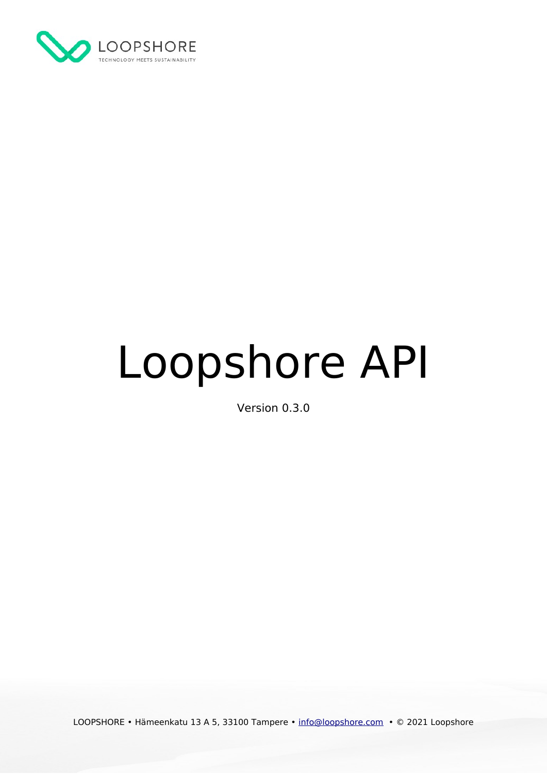

# Loopshore API

Version 0.3.0

LOOPSHORE • Hämeenkatu 13 A 5, 33100 Tampere • [info@loopshore.com](mailto:info@loopshore.com) • © 2021 Loopshore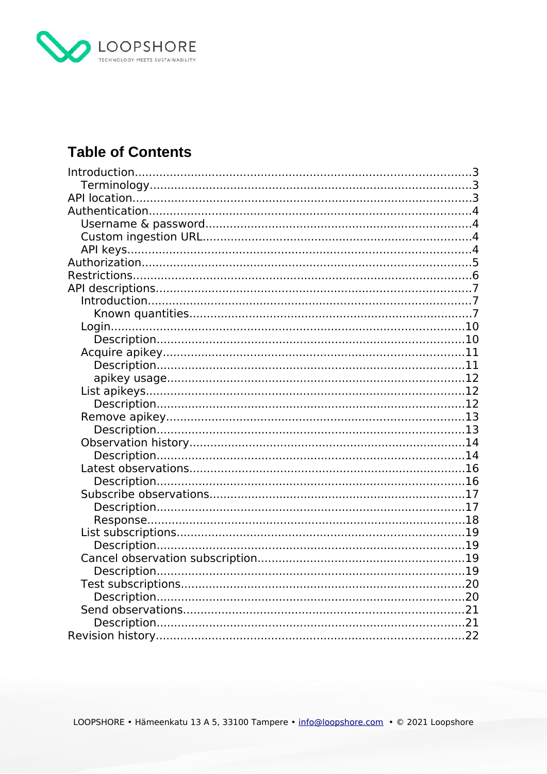

# **Table of Contents**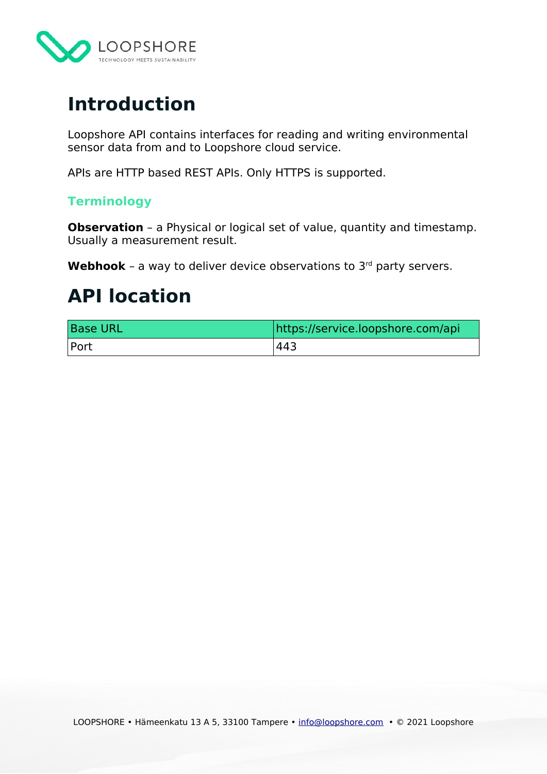

# <span id="page-2-2"></span>**Introduction**

Loopshore API contains interfaces for reading and writing environmental sensor data from and to Loopshore cloud service.

APIs are HTTP based REST APIs. Only HTTPS is supported.

# <span id="page-2-1"></span>**Terminology**

**Observation** - a Physical or logical set of value, quantity and timestamp. Usually a measurement result.

Webhook - a way to deliver device observations to 3<sup>rd</sup> party servers.

# <span id="page-2-0"></span>**API location**

| <b>Base URL</b> | https://service.loopshore.com/api |
|-----------------|-----------------------------------|
| Port            | 443.                              |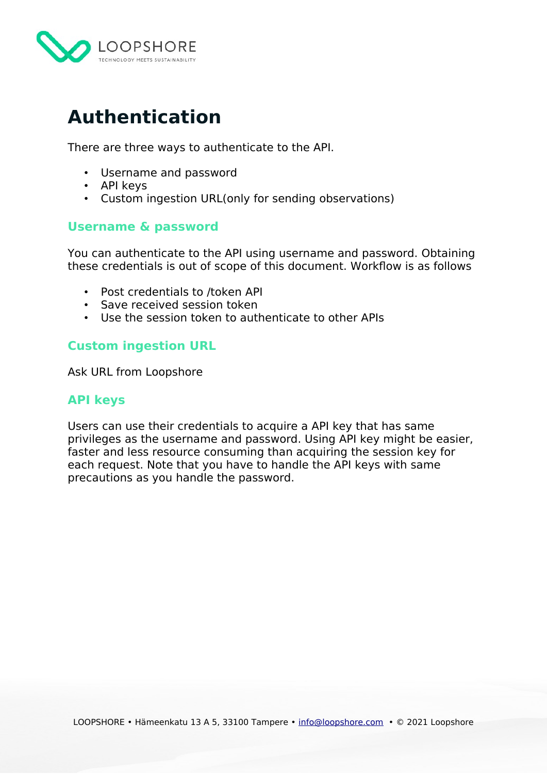

# <span id="page-3-3"></span>**Authentication**

There are three ways to authenticate to the API.

- Username and password
- API keys
- Custom ingestion URL(only for sending observations)

# <span id="page-3-2"></span>**Username & password**

You can authenticate to the API using username and password. Obtaining these credentials is out of scope of this document. Workflow is as follows

- Post credentials to /token API
- Save received session token
- Use the session token to authenticate to other APIs

# <span id="page-3-1"></span>**Custom ingestion URL**

Ask URL from Loopshore

# <span id="page-3-0"></span>**API keys**

Users can use their credentials to acquire a API key that has same privileges as the username and password. Using API key might be easier, faster and less resource consuming than acquiring the session key for each request. Note that you have to handle the API keys with same precautions as you handle the password.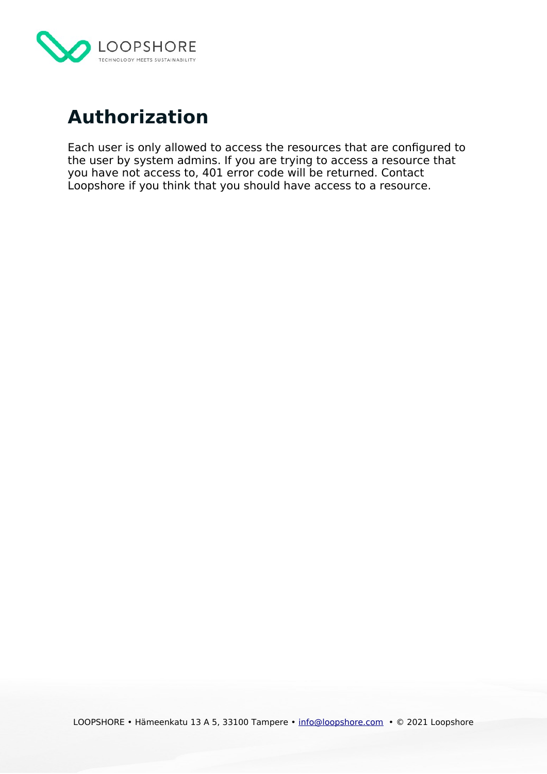

# <span id="page-4-0"></span>**Authorization**

Each user is only allowed to access the resources that are configured to the user by system admins. If you are trying to access a resource that you have not access to, 401 error code will be returned. Contact Loopshore if you think that you should have access to a resource.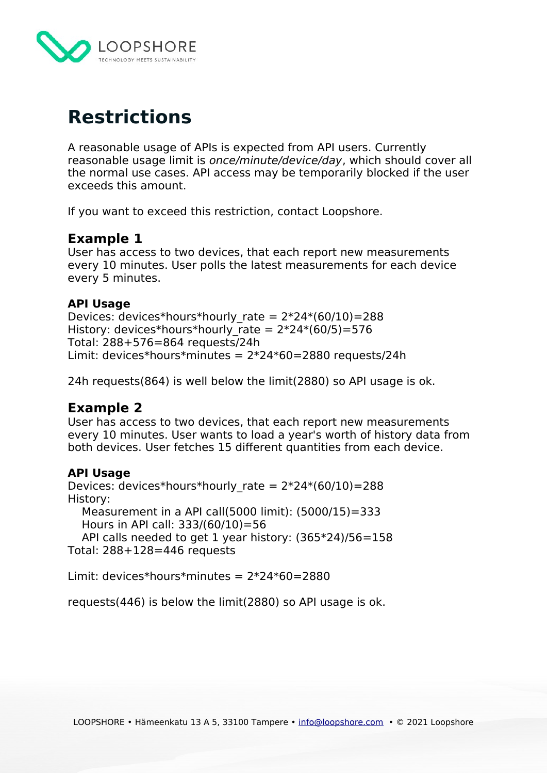

# <span id="page-5-0"></span>**Restrictions**

A reasonable usage of APIs is expected from API users. Currently reasonable usage limit is once/minute/device/day, which should cover all the normal use cases. API access may be temporarily blocked if the user exceeds this amount.

If you want to exceed this restriction, contact Loopshore.

# **Example 1**

User has access to two devices, that each report new measurements every 10 minutes. User polls the latest measurements for each device every 5 minutes.

#### **API Usage**

Devices: devices\*hours\*hourly\_rate =  $2*24*(60/10)=288$ History: devices\*hours\*hourly\_rate =  $2*24*(60/5)=576$ Total: 288+576=864 requests/24h Limit: devices\*hours\*minutes =  $2*24*60=2880$  requests/24h

24h requests(864) is well below the limit(2880) so API usage is ok.

# **Example 2**

User has access to two devices, that each report new measurements every 10 minutes. User wants to load a year's worth of history data from both devices. User fetches 15 different quantities from each device.

#### **API Usage**

Devices: devices\*hours\*hourly rate =  $2*24*(60/10)=288$ History: Measurement in a API call(5000 limit): (5000/15)=333 Hours in API call: 333/(60/10)=56 API calls needed to get 1 year history: (365\*24)/56=158 Total: 288+128=446 requests

Limit: devices\*hours\*minutes =  $2*24*60=2880$ 

requests(446) is below the limit(2880) so API usage is ok.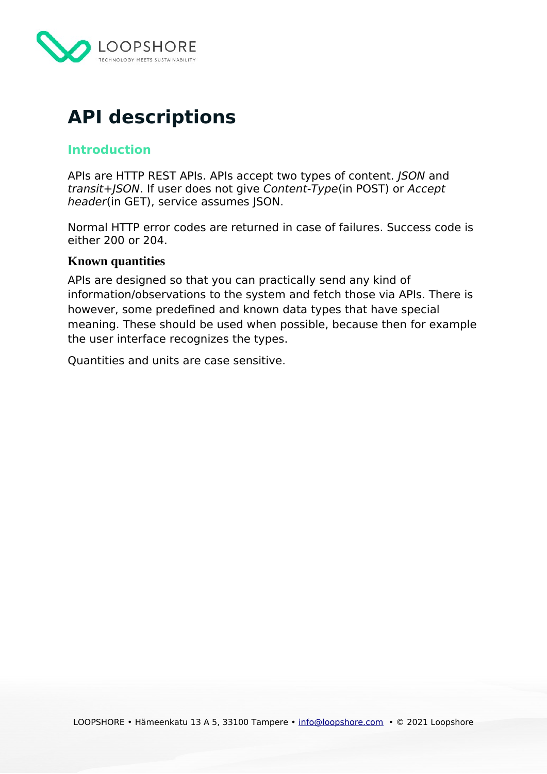

# <span id="page-6-2"></span>**API descriptions**

# <span id="page-6-1"></span>**Introduction**

APIs are HTTP REST APIs. APIs accept two types of content. *JSON* and transit+JSON. If user does not give Content-Type(in POST) or Accept header(in GET), service assumes JSON.

Normal HTTP error codes are returned in case of failures. Success code is either 200 or 204.

#### <span id="page-6-0"></span>**Known quantities**

APIs are designed so that you can practically send any kind of information/observations to the system and fetch those via APIs. There is however, some predefined and known data types that have special meaning. These should be used when possible, because then for example the user interface recognizes the types.

Quantities and units are case sensitive.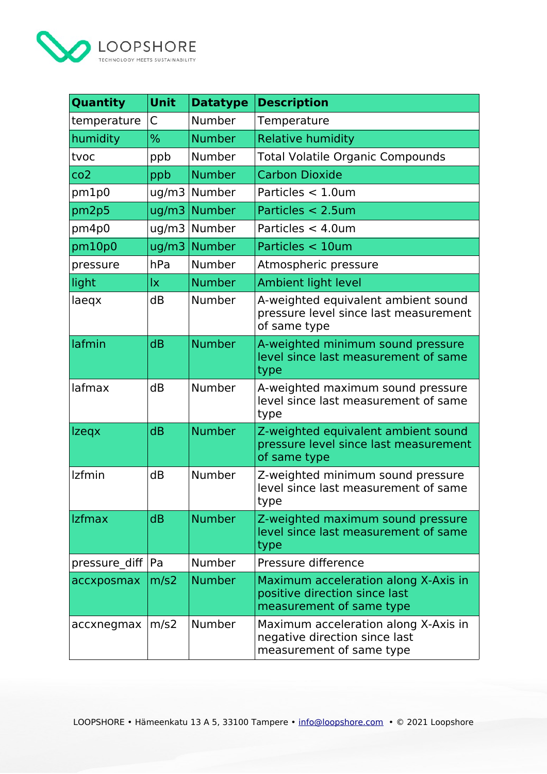

| Quantity        | Unit  | <b>Datatype</b> | <b>Description</b>                                                                                |
|-----------------|-------|-----------------|---------------------------------------------------------------------------------------------------|
| temperature     | C     | Number          | Temperature                                                                                       |
| humidity        | $\%$  | <b>Number</b>   | <b>Relative humidity</b>                                                                          |
| tvoc            | ppb   | Number          | <b>Total Volatile Organic Compounds</b>                                                           |
| co <sub>2</sub> | ppb   | <b>Number</b>   | <b>Carbon Dioxide</b>                                                                             |
| pm1p0           | uq/m3 | Number          | Particles < 1.0um                                                                                 |
| pm2p5           | ug/m3 | <b>Number</b>   | Particles < 2.5um                                                                                 |
| pm4p0           | ug/m3 | Number          | Particles < 4.0um                                                                                 |
| pm10p0          | ug/m3 | <b>Number</b>   | Particles < 10um                                                                                  |
| pressure        | hPa   | Number          | Atmospheric pressure                                                                              |
| light           | İχ    | <b>Number</b>   | Ambient light level                                                                               |
| laeqx           | dB    | Number          | A-weighted equivalent ambient sound<br>pressure level since last measurement<br>of same type      |
| lafmin          | dB    | <b>Number</b>   | A-weighted minimum sound pressure<br>level since last measurement of same<br>type                 |
| lafmax          | dB    | Number          | A-weighted maximum sound pressure<br>level since last measurement of same<br>type                 |
| <b>Izegx</b>    | dB    | <b>Number</b>   | Z-weighted equivalent ambient sound<br>pressure level since last measurement<br>of same type      |
| Izfmin          | dB    | Number          | Z-weighted minimum sound pressure<br>level since last measurement of same<br>type                 |
| <b>Izfmax</b>   | dB    | <b>Number</b>   | Z-weighted maximum sound pressure<br>level since last measurement of same<br>type                 |
| pressure diff   | Pa    | Number          | Pressure difference                                                                               |
| accxposmax      | m/s2  | <b>Number</b>   | Maximum acceleration along X-Axis in<br>positive direction since last<br>measurement of same type |
| accxnegmax      | m/s2  | Number          | Maximum acceleration along X-Axis in<br>negative direction since last<br>measurement of same type |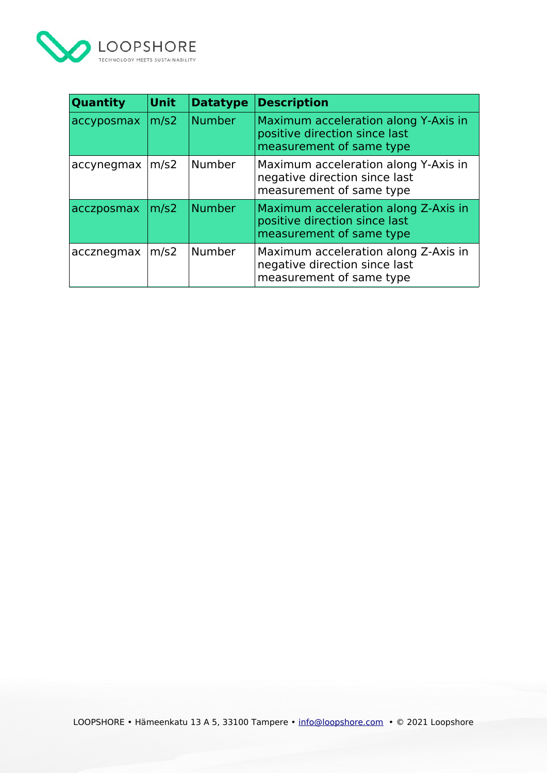

| Quantity   | <b>Unit</b> | <b>Datatype</b> | <b>Description</b>                                                                                |
|------------|-------------|-----------------|---------------------------------------------------------------------------------------------------|
| accyposmax | m/s2        | <b>Number</b>   | Maximum acceleration along Y-Axis in<br>positive direction since last<br>measurement of same type |
| accynegmax | m/s2        | Number          | Maximum acceleration along Y-Axis in<br>negative direction since last<br>measurement of same type |
| acczposmax | m/s2        | <b>Number</b>   | Maximum acceleration along Z-Axis in<br>positive direction since last<br>measurement of same type |
| accznegmax | m/s2        | Number          | Maximum acceleration along Z-Axis in<br>negative direction since last<br>measurement of same type |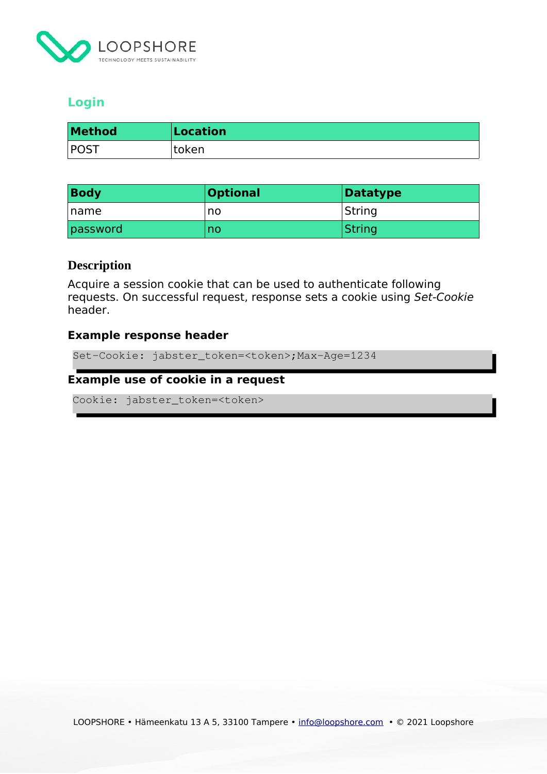

# <span id="page-9-1"></span>**Login**

| <b>Method</b> | Location |
|---------------|----------|
| POST          | token    |

| <b>Body</b>  | <b>Optional</b> | Datatype |
|--------------|-----------------|----------|
| <b>Iname</b> | no              | String   |
| password     | no              | String   |

#### <span id="page-9-0"></span>**Description**

Acquire a session cookie that can be used to authenticate following requests. On successful request, response sets a cookie using Set-Cookie header.

#### **Example response header**

Set-Cookie: jabster\_token=<token>;Max-Age=1234

#### **Example use of cookie in a request**

Cookie: jabster\_token=<token>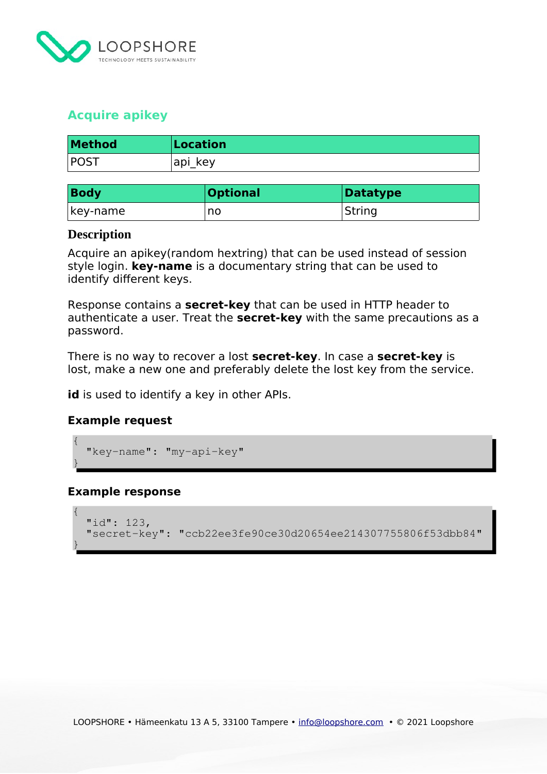

# <span id="page-10-1"></span>**Acquire apikey**

| <b>Method</b> | Location |
|---------------|----------|
| POS.          | api key  |

| <b>Body</b> | <b>Optional</b> | Datatype |
|-------------|-----------------|----------|
| key-name    | no              | String   |

#### <span id="page-10-0"></span>**Description**

Acquire an apikey(random hextring) that can be used instead of session style login. **key-name** is a documentary string that can be used to identify different keys.

Response contains a **secret-key** that can be used in HTTP header to authenticate a user. Treat the **secret-key** with the same precautions as a password.

There is no way to recover a lost **secret-key**. In case a **secret-key** is lost, make a new one and preferably delete the lost key from the service.

**id** is used to identify a key in other APIs.

#### **Example request**

```
{
  "key-name": "my-api-key"
```
# **Example response**

}

}

{

}

{

}

```
{
"id": 123, "secret-key": "ccb22ee3fe90ce30d20654ee214307755806f53dbb84"
 "secret-key": "ccb22ee3fe90ce30d20654ee214307755806f53dbb84"
```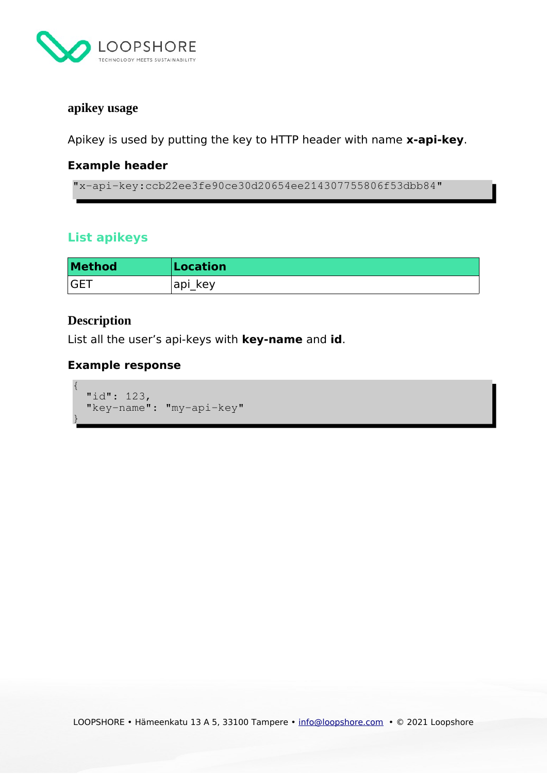

## <span id="page-11-2"></span>**apikey usage**

Apikey is used by putting the key to HTTP header with name **x-api-key**.

## **Example header**

"x-api-key:ccb22ee3fe90ce30d20654ee214307755806f53dbb84"

# <span id="page-11-1"></span>**List apikeys**

| <b>Method</b> | Location |
|---------------|----------|
| <b>GET</b>    | api key  |

# <span id="page-11-0"></span>**Description**

List all the user's api-keys with **key-name** and **id**.

## **Example response**

```
{
"id": 123, "key-name": "my-api-key"
 "key-name": "my-api-key"
}
{
}
```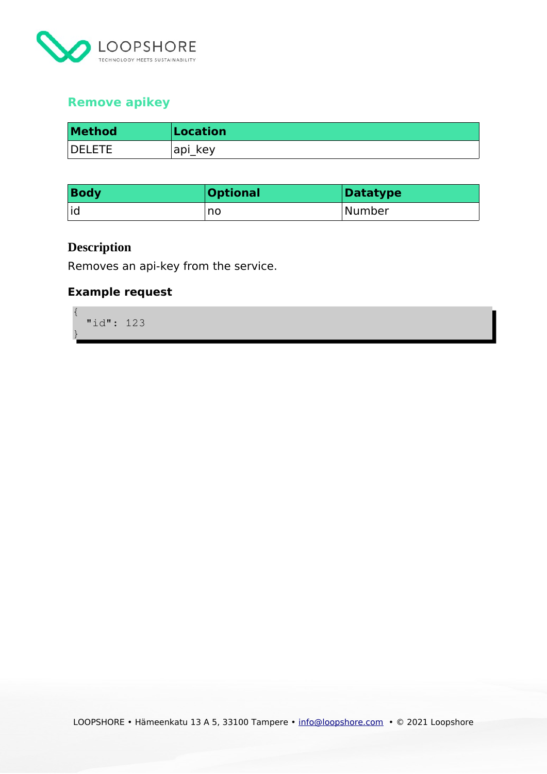

# <span id="page-12-1"></span>**Remove apikey**

| <b>Method</b> | Location |
|---------------|----------|
| <b>DELETE</b> | api key  |

| <b>Body</b> | <b>Optional</b> | Datatype |
|-------------|-----------------|----------|
| id          | no              | Number   |

# <span id="page-12-0"></span>**Description**

Removes an api-key from the service.

# **Example request**

{ "id": 123 } { }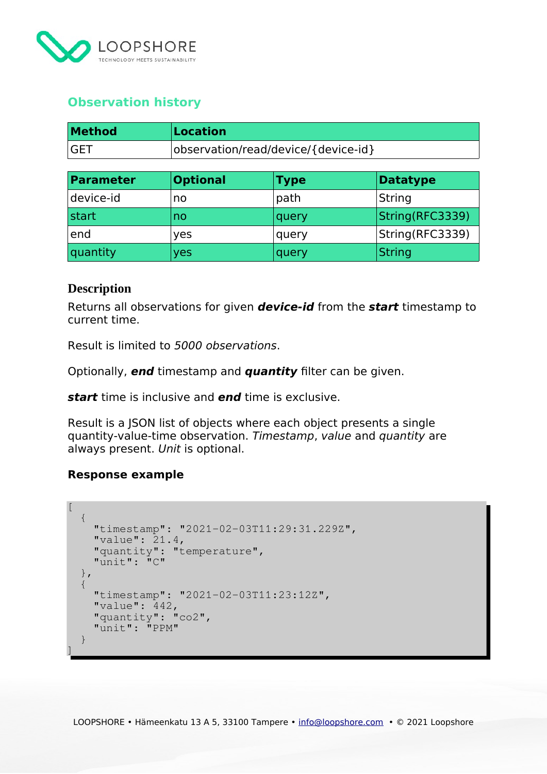

# <span id="page-13-1"></span>**Observation history**

| <b>Method</b> | Location                            |
|---------------|-------------------------------------|
| <b>GET</b>    | observation/read/device/{device-id} |

| <b>Parameter</b> | <b>Optional</b> | <b>Type</b> | Datatype         |
|------------------|-----------------|-------------|------------------|
| device-id        | no              | path        | <b>String</b>    |
| start            | no              | query       | String (RFC3339) |
| end              | yes             | query       | String(RFC3339)  |
| quantity         | yes             | query       | $\sf{String}$    |

#### <span id="page-13-0"></span>**Description**

Returns all observations for given **device-id** from the **start** timestamp to current time.

Result is limited to 5000 observations.

Optionally, **end** timestamp and **quantity** filter can be given.

**start** time is inclusive and **end** time is exclusive.

Result is a JSON list of objects where each object presents a single quantity-value-time observation. Timestamp, value and quantity are always present. Unit is optional.

#### **Response example**

```
[\left\{\begin{array}{c} \end{array}\right. "timestamp": "2021-02-03T11:29:31.229Z",
 "timestamp": "2021-02-03T11:29:31.229Z",
 "value": 21.4,
 "value": 21.4,
 "quantity": "temperature",
 "quantity": "temperature",
 "unit": "C"
 "unit": "C"
\frac{1}{2},
 \mathcal{A} "timestamp": "2021-02-03T11:23:12Z",
 "timestamp": "2021-02-03T11:23:12Z",
walue": 442,
 "quantity": "co2",
 "quantity": "co2",
 "unit": "PPM"
 "unit": "PPM"
\begin{matrix} \downarrow \\ \downarrow \end{matrix}]
\left\{\right.]
```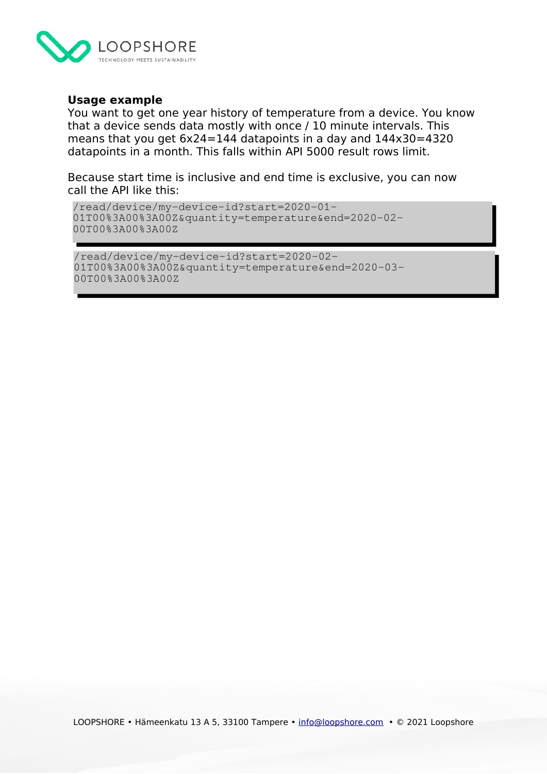

#### **Usage example**

You want to get one year history of temperature from a device. You know that a device sends data mostly with once / 10 minute intervals. This means that you get 6x24=144 datapoints in a day and 144x30=4320 datapoints in a month. This falls within API 5000 result rows limit.

Because start time is inclusive and end time is exclusive, you can now call the API like this:

```
/read/device/my-device-id?start=2020-01-
01T00%3A00%3A00Z&quantity=temperature&end=2020-02-
00T00%3A00%3A00Z
```

```
/read/device/my-device-id?start=2020-02-
01T00%3A00%3A00Z&quantity=temperature&end=2020-03-
00T00%3A00%3A00Z
```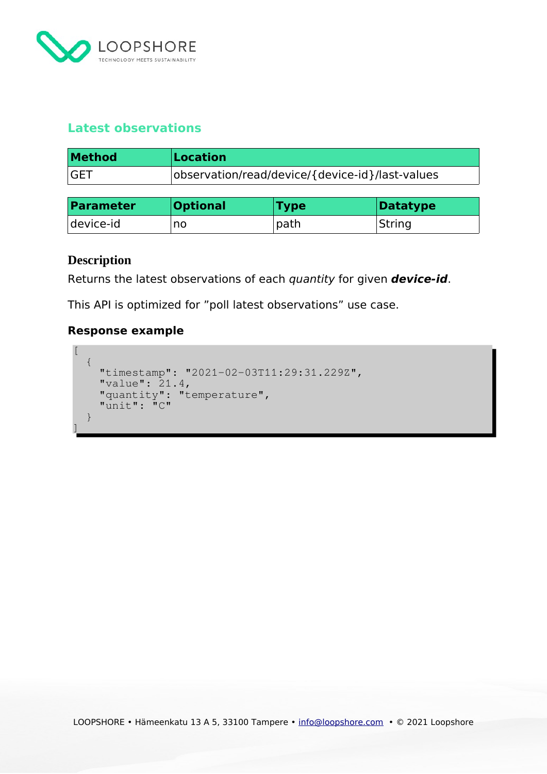

# <span id="page-15-1"></span>**Latest observations**

| <b>Method</b> | Location                                        |
|---------------|-------------------------------------------------|
| <b>GET</b>    | observation/read/device/{device-id}/last-values |

| <b>Parameter</b> | <b>Optional</b> | <b>Type</b> | Datatype |
|------------------|-----------------|-------------|----------|
| device-id        | no              | path        | String   |

# <span id="page-15-0"></span>**Description**

Returns the latest observations of each quantity for given **device-id**.

This API is optimized for "poll latest observations" use case.

## **Response example**

```
[ \ ]\{ "timestamp": "2021-02-03T11:29:31.229Z",
 "timestamp": "2021-02-03T11:29:31.229Z",
 "value": 21.4,
"quantity": "temperature",
 "unit": "C"
\begin{matrix} \downarrow \\ \downarrow \end{matrix}]
     "value": 21.4,
 "quantity": "temperature",
 "unit": "C"
]
```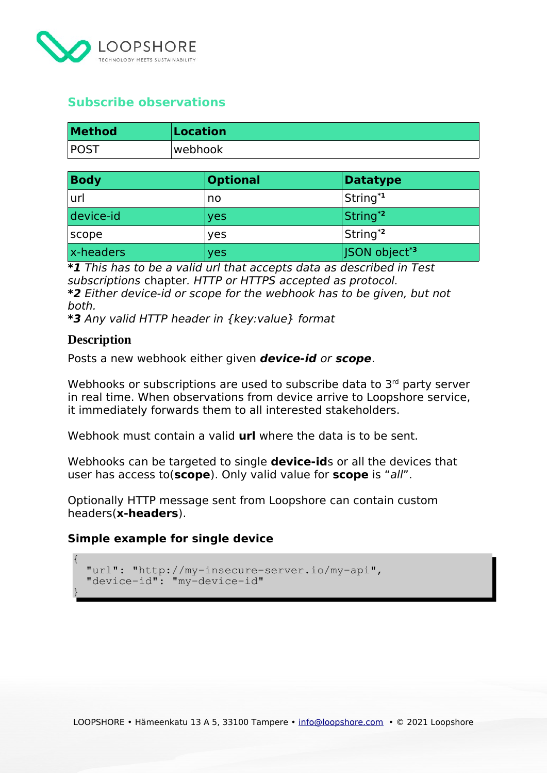

# <span id="page-16-1"></span>**Subscribe observations**

| <b>Method</b> | Location |
|---------------|----------|
| $ $ POST      | webhook! |

| <b>Body</b> | <b>Optional</b> | <b>Datatype</b>           |
|-------------|-----------------|---------------------------|
| url         | no              | String <sup>*1</sup>      |
| device-id   | yes             | String <sup>*2</sup>      |
| scope       | yes             | String <sup>*2</sup>      |
| x-headers   | yes             | JSON object* <sup>3</sup> |

**\*1** This has to be a valid url that accepts data as described in Test subscriptions chapter. HTTP or HTTPS accepted as protocol. **\*2** Either device-id or scope for the webhook has to be given, but not both.

**\*3** Any valid HTTP header in {key:value} format

#### <span id="page-16-0"></span>**Description**

{

{

}

}

Posts a new webhook either given **device-id** or **scope**.

Webhooks or subscriptions are used to subscribe data to 3rd party server in real time. When observations from device arrive to Loopshore service, it immediately forwards them to all interested stakeholders.

Webhook must contain a valid **url** where the data is to be sent.

Webhooks can be targeted to single **device-id**s or all the devices that user has access to(**scope**). Only valid value for **scope** is "all".

Optionally HTTP message sent from Loopshore can contain custom headers(**x-headers**).

#### **Simple example for single device**

```
 "url": "http://my-insecure-server.io/my-api",
 "url": "http://my-insecure-server.io/my-api",
 "device-id": "my-device-id"
 "device-id": "my-device-id"
```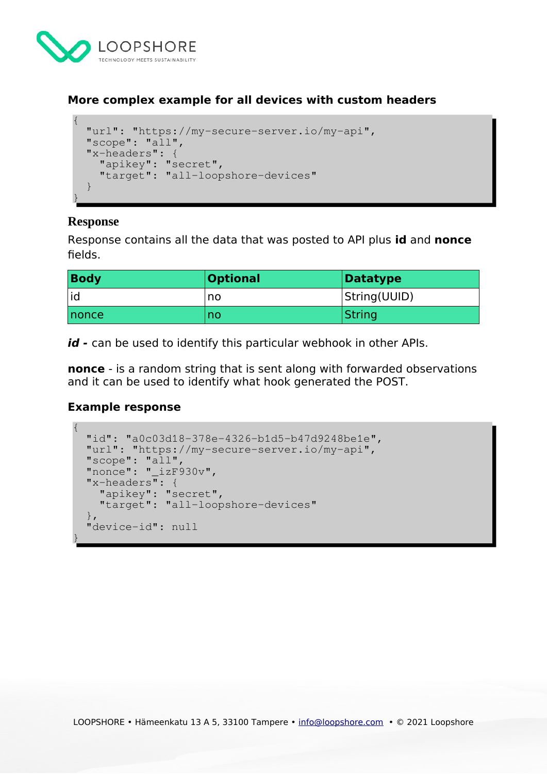

## **More complex example for all devices with custom headers**

```
{
 "url": "https://my-secure-server.io/my-api",
 "url": "https://my-secure-server.io/my-api",
 "scope": "all",
 "scope": "all",
 "x-headers": {
 "x-headers": {
 "apikey": "secret",
 "target": "all-loopshore-devices"
\}}
 "apikey": "secret",
 "target": "all-loopshore-devices"
```
# <span id="page-17-0"></span>**Response**

{

}

Response contains all the data that was posted to API plus **id** and **nonce** fields.

| <b>Body</b>   | <b>Optional</b> | <b>Datatype</b> |
|---------------|-----------------|-----------------|
| id            | no              | String(UUID)    |
| <b>Inonce</b> | no              | String          |

**id -** can be used to identify this particular webhook in other APIs.

**nonce** - is a random string that is sent along with forwarded observations and it can be used to identify what hook generated the POST.

#### **Example response**

```
{
 "id": "a0c03d18-378e-4326-b1d5-b47d9248be1e",
 "id": "a0c03d18-378e-4326-b1d5-b47d9248be1e",
 "url": "https://my-secure-server.io/my-api",
 "url": "https://my-secure-server.io/my-api",
 "scope": "all",
 "scope": "all",
 "nonce": "_izF930v",
 "nonce": "_izF930v",
 "x-headers": {
 "x-headers": {
 "apikey": "secret",
 "apikey": "secret",
 "target": "all-loopshore-devices"
 "target": "all-loopshore-devices"
\frac{1}{2},
 "device-id": null
 "device-id": null
 }
{
}
```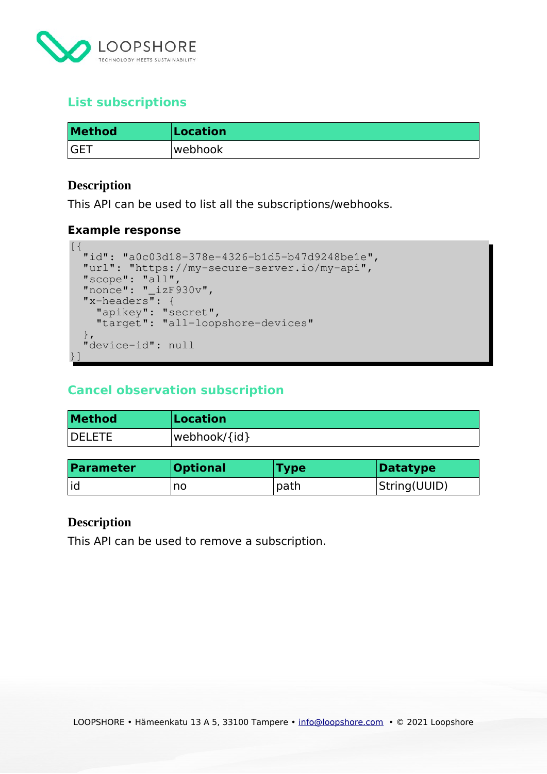

# <span id="page-18-3"></span>**List subscriptions**

| <b>Method</b> | Location |
|---------------|----------|
| <b>GET</b>    | webhook  |

#### <span id="page-18-2"></span>**Description**

This API can be used to list all the subscriptions/webhooks.

#### **Example response**

```
[ \; \{ \; "id": "a0c03d18-378e-4326-b1d5-b47d9248be1e",
 "id": "a0c03d18-378e-4326-b1d5-b47d9248be1e",
 "url": "https://my-secure-server.io/my-api",
 "url": "https://my-secure-server.io/my-api",
  "scope": "all",
 "nonce": "_izF930v",<br>"
 "x-headers": {
 "x-headers": {
 "apikey": "secret",
 "apikey": "secret",
 "target": "all-loopshore-devices"
 "target": "all-loopshore-devices"
\frac{1}{\sqrt{2}} "device-id": null
 "device-id": null
 }]
 "scope": "all",
 "nonce": "_izF930v",
}]
```
# <span id="page-18-1"></span>**Cancel observation subscription**

| <b>Method</b> | Location     |
|---------------|--------------|
| <b>DELETE</b> | webhook/{id} |

| <b>Parameter</b> | <b>Optional</b> | <b>Type</b> | Datatype     |
|------------------|-----------------|-------------|--------------|
| id               | no              | path        | String(UUID) |

#### <span id="page-18-0"></span>**Description**

This API can be used to remove a subscription.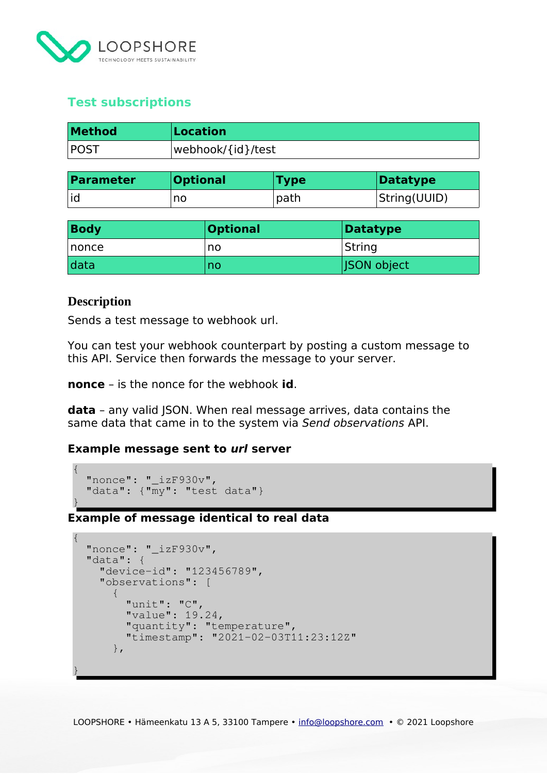

# <span id="page-19-1"></span>**Test subscriptions**

| <b>Method</b> | <b>Location</b>   |
|---------------|-------------------|
| <b>POST</b>   | webhook/{id}/test |

| <b>Parameter</b> | <b>Optional</b> | <b>Type</b> | Datatype     |
|------------------|-----------------|-------------|--------------|
| id               | no              | path        | String(UUID) |

| <b>Body</b> | <b>Optional</b> | Datatype           |
|-------------|-----------------|--------------------|
| $ $ nonce   | no              | String             |
| data        | no              | <b>JSON</b> object |

## <span id="page-19-0"></span>**Description**

{

}

Sends a test message to webhook url.

You can test your webhook counterpart by posting a custom message to this API. Service then forwards the message to your server.

**nonce** – is the nonce for the webhook **id**.

**data** - any valid JSON. When real message arrives, data contains the same data that came in to the system via Send observations API.

#### **Example message sent to url server**

```
{
\blacksquare nonce": \blacksquare izF930v",
 "data": {"my": "test data"}
 "data": {"my": "test data"}
```
**Example of message identical to real data** }

```
{
 "nonce": "_izF930v",
 "nonce": "_izF930v",
 "data": {
 "data": {
 "device-id": "123456789",
 "device-id": "123456789",
 "observations": [
 "observations": [
 \mathcal{A} "unit": "C",
 "value": 19.24,
 "value": 19.24,
 "quantity": "temperature",
 "quantity": "temperature",
 "timestamp": "2021-02-03T11:23:12Z"
 "timestamp": "2021-02-03T11:23:12Z"
\vert \hspace{.08cm} \vert,
 }
{
\left\{\begin{array}{ccc} & & \\ & & \end{array}\right\} "unit": "C",
}
```
LOOPSHORE • Hämeenkatu 13 A 5, 33100 Tampere • [info@loopshore.com](mailto:info@loopshore.com) • © 2021 Loopshore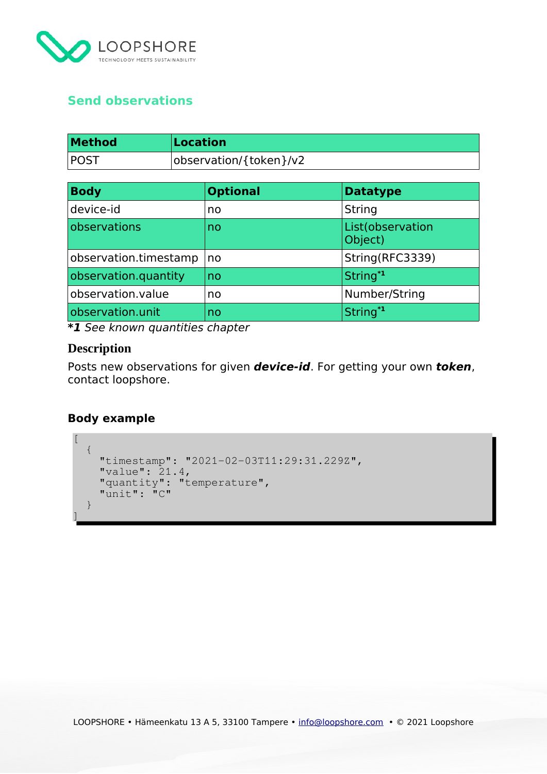

# <span id="page-20-1"></span>**Send observations**

| <b>Method</b> | Location               |
|---------------|------------------------|
| <b>POST</b>   | observation/{token}/v2 |

| <b>Body</b>           | <b>Optional</b> | <b>Datatype</b>             |
|-----------------------|-----------------|-----------------------------|
| device-id             | no              | String                      |
| observations          | no              | List(observation<br>Object) |
| observation.timestamp | no              | String(RFC3339)             |
| observation.quantity  | no              | String <sup>*1</sup>        |
| observation.value     | no              | Number/String               |
| observation.unit      | no              | String <sup>*1</sup>        |

**\*1** See known quantities chapter

# <span id="page-20-0"></span>**Description**

Posts new observations for given **device-id**. For getting your own **token**, contact loopshore.

# **Body example**

```
[\mathcal{A} "timestamp": "2021-02-03T11:29:31.229Z",
 "timestamp": "2021-02-03T11:29:31.229Z",
 "value": 21.4,
"quantity": "temperature",
"unit": "C"
\rightarrow]
\left\{\right."value": 21.4,
 "quantity": "temperature",
 "unit": "C"
 }
]
```